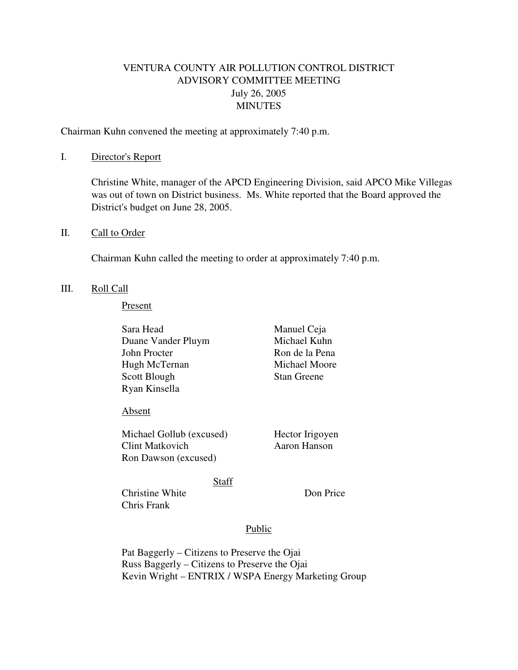# VENTURA COUNTY AIR POLLUTION CONTROL DISTRICT ADVISORY COMMITTEE MEETING July 26, 2005 MINUTES

Chairman Kuhn convened the meeting at approximately 7:40 p.m.

### I. Director's Report

 Christine White, manager of the APCD Engineering Division, said APCO Mike Villegas was out of town on District business. Ms. White reported that the Board approved the District's budget on June 28, 2005.

### II. Call to Order

Chairman Kuhn called the meeting to order at approximately 7:40 p.m.

#### III. Roll Call

#### Present

Sara Head Manuel Ceja Duane Vander Pluym Michael Kuhn John Procter Ron de la Pena Hugh McTernan Michael Moore Scott Blough Stan Greene Ryan Kinsella

#### Absent

Michael Gollub (excused) Hector Irigoyen Clint Matkovich Aaron Hanson Ron Dawson (excused)

## Staff

Christine White Don Price Chris Frank

## Public

Pat Baggerly – Citizens to Preserve the Ojai Russ Baggerly – Citizens to Preserve the Ojai Kevin Wright – ENTRIX / WSPA Energy Marketing Group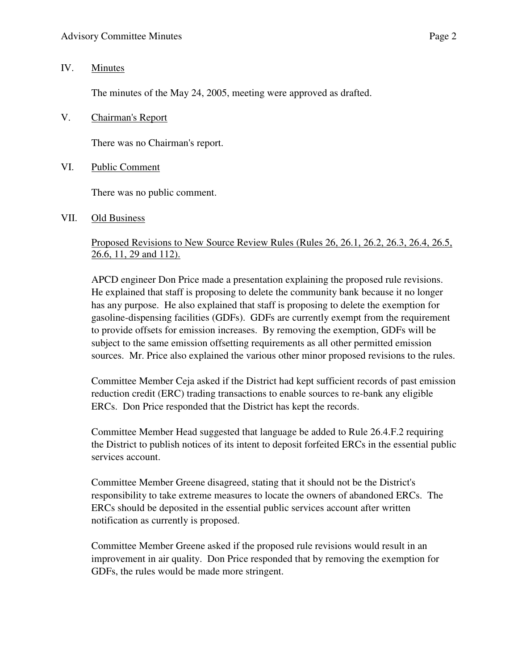## IV. Minutes

The minutes of the May 24, 2005, meeting were approved as drafted.

V. Chairman's Report

There was no Chairman's report.

VI. Public Comment

There was no public comment.

VII. Old Business

# Proposed Revisions to New Source Review Rules (Rules 26, 26.1, 26.2, 26.3, 26.4, 26.5, 26.6, 11, 29 and 112).

 APCD engineer Don Price made a presentation explaining the proposed rule revisions. He explained that staff is proposing to delete the community bank because it no longer has any purpose. He also explained that staff is proposing to delete the exemption for gasoline-dispensing facilities (GDFs). GDFs are currently exempt from the requirement to provide offsets for emission increases. By removing the exemption, GDFs will be subject to the same emission offsetting requirements as all other permitted emission sources. Mr. Price also explained the various other minor proposed revisions to the rules.

 Committee Member Ceja asked if the District had kept sufficient records of past emission reduction credit (ERC) trading transactions to enable sources to re-bank any eligible ERCs. Don Price responded that the District has kept the records.

Committee Member Head suggested that language be added to Rule 26.4.F.2 requiring the District to publish notices of its intent to deposit forfeited ERCs in the essential public services account.

 Committee Member Greene disagreed, stating that it should not be the District's responsibility to take extreme measures to locate the owners of abandoned ERCs. The ERCs should be deposited in the essential public services account after written notification as currently is proposed.

Committee Member Greene asked if the proposed rule revisions would result in an improvement in air quality. Don Price responded that by removing the exemption for GDFs, the rules would be made more stringent.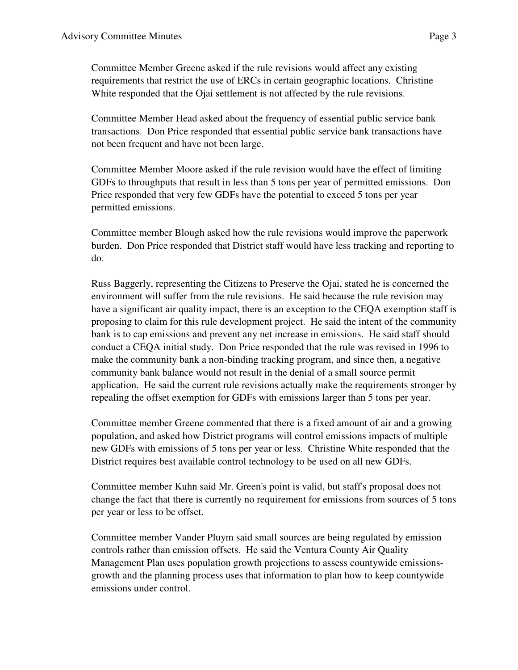Committee Member Greene asked if the rule revisions would affect any existing requirements that restrict the use of ERCs in certain geographic locations. Christine White responded that the Ojai settlement is not affected by the rule revisions.

Committee Member Head asked about the frequency of essential public service bank transactions. Don Price responded that essential public service bank transactions have not been frequent and have not been large.

Committee Member Moore asked if the rule revision would have the effect of limiting GDFs to throughputs that result in less than 5 tons per year of permitted emissions. Don Price responded that very few GDFs have the potential to exceed 5 tons per year permitted emissions.

Committee member Blough asked how the rule revisions would improve the paperwork burden. Don Price responded that District staff would have less tracking and reporting to do.

Russ Baggerly, representing the Citizens to Preserve the Ojai, stated he is concerned the environment will suffer from the rule revisions. He said because the rule revision may have a significant air quality impact, there is an exception to the CEQA exemption staff is proposing to claim for this rule development project. He said the intent of the community bank is to cap emissions and prevent any net increase in emissions. He said staff should conduct a CEQA initial study. Don Price responded that the rule was revised in 1996 to make the community bank a non-binding tracking program, and since then, a negative community bank balance would not result in the denial of a small source permit application. He said the current rule revisions actually make the requirements stronger by repealing the offset exemption for GDFs with emissions larger than 5 tons per year.

Committee member Greene commented that there is a fixed amount of air and a growing population, and asked how District programs will control emissions impacts of multiple new GDFs with emissions of 5 tons per year or less. Christine White responded that the District requires best available control technology to be used on all new GDFs.

Committee member Kuhn said Mr. Green's point is valid, but staff's proposal does not change the fact that there is currently no requirement for emissions from sources of 5 tons per year or less to be offset.

Committee member Vander Pluym said small sources are being regulated by emission controls rather than emission offsets. He said the Ventura County Air Quality Management Plan uses population growth projections to assess countywide emissionsgrowth and the planning process uses that information to plan how to keep countywide emissions under control.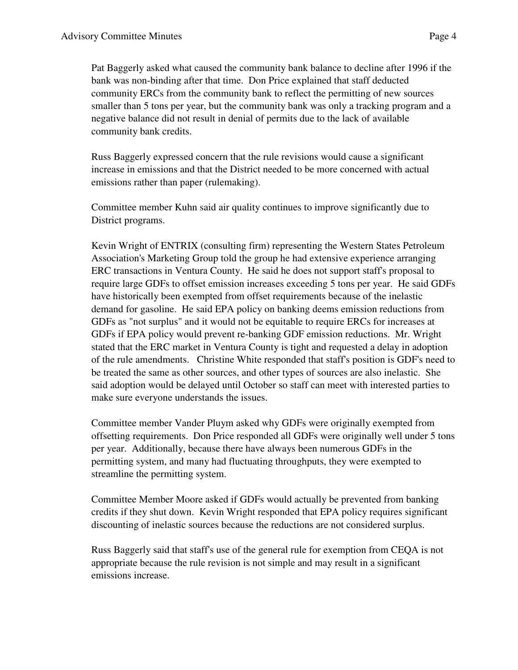Pat Baggerly asked what caused the community bank balance to decline after 1996 if the bank was non-binding after that time. Don Price explained that staff deducted community ERCs from the community bank to reflect the permitting of new sources smaller than 5 tons per year, but the community bank was only a tracking program and a negative balance did not result in denial of permits due to the lack of available community bank credits.

 Russ Baggerly expressed concern that the rule revisions would cause a significant increase in emissions and that the District needed to be more concerned with actual emissions rather than paper (rulemaking).

Committee member Kuhn said air quality continues to improve significantly due to District programs.

 Kevin Wright of ENTRIX (consulting firm) representing the Western States Petroleum Association's Marketing Group told the group he had extensive experience arranging ERC transactions in Ventura County. He said he does not support staff's proposal to require large GDFs to offset emission increases exceeding 5 tons per year. He said GDFs have historically been exempted from offset requirements because of the inelastic demand for gasoline. He said EPA policy on banking deems emission reductions from GDFs as "not surplus" and it would not be equitable to require ERCs for increases at GDFs if EPA policy would prevent re-banking GDF emission reductions. Mr. Wright stated that the ERC market in Ventura County is tight and requested a delay in adoption of the rule amendments. Christine White responded that staff's position is GDF's need to be treated the same as other sources, and other types of sources are also inelastic. She said adoption would be delayed until October so staff can meet with interested parties to make sure everyone understands the issues.

Committee member Vander Pluym asked why GDFs were originally exempted from offsetting requirements. Don Price responded all GDFs were originally well under 5 tons per year. Additionally, because there have always been numerous GDFs in the permitting system, and many had fluctuating throughputs, they were exempted to streamline the permitting system.

 Committee Member Moore asked if GDFs would actually be prevented from banking credits if they shut down. Kevin Wright responded that EPA policy requires significant discounting of inelastic sources because the reductions are not considered surplus.

Russ Baggerly said that staff's use of the general rule for exemption from CEQA is not appropriate because the rule revision is not simple and may result in a significant emissions increase.